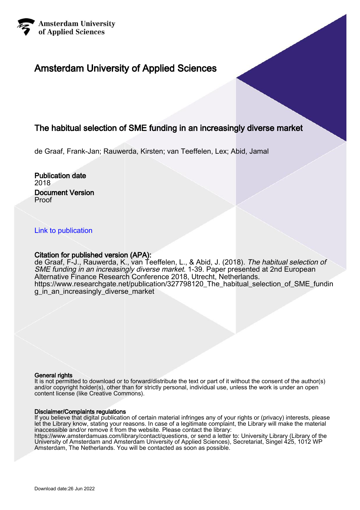

# Amsterdam University of Applied Sciences

# The habitual selection of SME funding in an increasingly diverse market

de Graaf, Frank-Jan; Rauwerda, Kirsten; van Teeffelen, Lex; Abid, Jamal

### Publication date 2018 Document Version Proof

## [Link to publication](https://research.hva.nl/en/publications/7ff640a8-2681-4ddd-997f-478e384539c6)

### Citation for published version (APA):

de Graaf, F-J., Rauwerda, K., van Teeffelen, L., & Abid, J. (2018). The habitual selection of SME funding in an increasingly diverse market. 1-39. Paper presented at 2nd European Alternative Finance Research Conference 2018, Utrecht, Netherlands. [https://www.researchgate.net/publication/327798120\\_The\\_habitual\\_selection\\_of\\_SME\\_fundin](https://www.researchgate.net/publication/327798120_The_habitual_selection_of_SME_funding_in_an_increasingly_diverse_market) [g\\_in\\_an\\_increasingly\\_diverse\\_market](https://www.researchgate.net/publication/327798120_The_habitual_selection_of_SME_funding_in_an_increasingly_diverse_market)

#### General rights

It is not permitted to download or to forward/distribute the text or part of it without the consent of the author(s) and/or copyright holder(s), other than for strictly personal, individual use, unless the work is under an open content license (like Creative Commons).

#### Disclaimer/Complaints regulations

If you believe that digital publication of certain material infringes any of your rights or (privacy) interests, please let the Library know, stating your reasons. In case of a legitimate complaint, the Library will make the material inaccessible and/or remove it from the website. Please contact the library:

https://www.amsterdamuas.com/library/contact/questions, or send a letter to: University Library (Library of the University of Amsterdam and Amsterdam University of Applied Sciences), Secretariat, Singel 425, 1012 WP Amsterdam, The Netherlands. You will be contacted as soon as possible.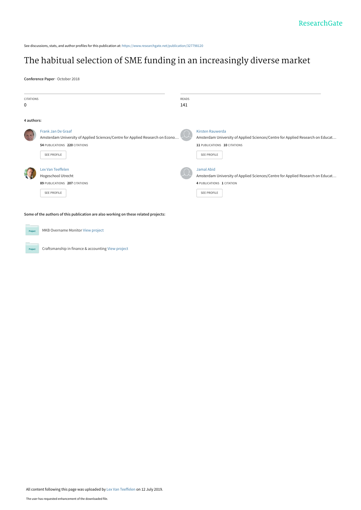See discussions, stats, and author profiles for this publication at: [https://www.researchgate.net/publication/327798120](https://www.researchgate.net/publication/327798120_The_habitual_selection_of_SME_funding_in_an_increasingly_diverse_market?enrichId=rgreq-6d17cc442138fc2731265c08099276ce-XXX&enrichSource=Y292ZXJQYWdlOzMyNzc5ODEyMDtBUzo3Nzk3NzYwMzM4MjA2NzVAMTU2MjkyNDUwMjkwNg%3D%3D&el=1_x_2&_esc=publicationCoverPdf)

# [The habitual selection of SME funding in an increasingly diverse market](https://www.researchgate.net/publication/327798120_The_habitual_selection_of_SME_funding_in_an_increasingly_diverse_market?enrichId=rgreq-6d17cc442138fc2731265c08099276ce-XXX&enrichSource=Y292ZXJQYWdlOzMyNzc5ODEyMDtBUzo3Nzk3NzYwMzM4MjA2NzVAMTU2MjkyNDUwMjkwNg%3D%3D&el=1_x_3&_esc=publicationCoverPdf)

**Conference Paper** · October 2018

| <b>CITATIONS</b><br>0 |                                                                                                                                                     | READS<br>141 |                                                                                                                                                                 |
|-----------------------|-----------------------------------------------------------------------------------------------------------------------------------------------------|--------------|-----------------------------------------------------------------------------------------------------------------------------------------------------------------|
| 4 authors:            |                                                                                                                                                     |              |                                                                                                                                                                 |
|                       | Frank Jan De Graaf<br>Amsterdam University of Applied Sciences/Centre for Applied Research on Econo<br>54 PUBLICATIONS 220 CITATIONS<br>SEE PROFILE |              | <b>Kirsten Rauwerda</b><br>Amsterdam University of Applied Sciences/Centre for Applied Research on Educat<br>11 PUBLICATIONS 10 CITATIONS<br><b>SEE PROFILE</b> |
|                       | Lex Van Teeffelen<br>Hogeschool Utrecht<br>89 PUBLICATIONS 207 CITATIONS<br><b>SEE PROFILE</b>                                                      |              | Jamal Abid<br>Amsterdam University of Applied Sciences/Centre for Applied Research on Educat<br>4 PUBLICATIONS 1 CITATION<br><b>SEE PROFILE</b>                 |

**Some of the authors of this publication are also working on these related projects:**

**Project** 

MKB Overname Monitor [View project](https://www.researchgate.net/project/MKB-Overname-Monitor?enrichId=rgreq-6d17cc442138fc2731265c08099276ce-XXX&enrichSource=Y292ZXJQYWdlOzMyNzc5ODEyMDtBUzo3Nzk3NzYwMzM4MjA2NzVAMTU2MjkyNDUwMjkwNg%3D%3D&el=1_x_9&_esc=publicationCoverPdf)

Craftsmanship in finance & accounting [View project](https://www.researchgate.net/project/Craftsmanship-in-finance-accounting?enrichId=rgreq-6d17cc442138fc2731265c08099276ce-XXX&enrichSource=Y292ZXJQYWdlOzMyNzc5ODEyMDtBUzo3Nzk3NzYwMzM4MjA2NzVAMTU2MjkyNDUwMjkwNg%3D%3D&el=1_x_9&_esc=publicationCoverPdf) Project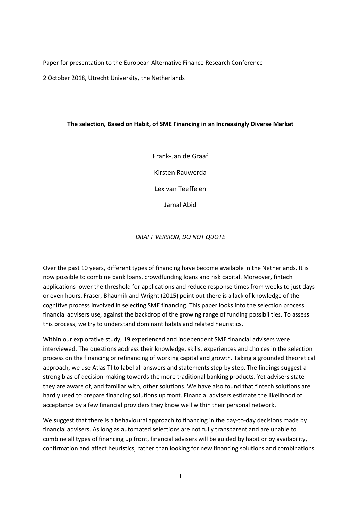Paper for presentation to the European Alternative Finance Research Conference

2 October 2018, Utrecht University, the Netherlands

## **The selection, Based on Habit, of SME Financing in an Increasingly Diverse Market**

Frank-Jan de Graaf Kirsten Rauwerda Lex van Teeffelen Jamal Abid

*DRAFT VERSION, DO NOT QUOTE*

Over the past 10 years, different types of financing have become available in the Netherlands. It is now possible to combine bank loans, crowdfunding loans and risk capital. Moreover, fintech applications lower the threshold for applications and reduce response times from weeks to just days or even hours. Fraser, Bhaumik and Wright (2015) point out there is a lack of knowledge of the cognitive process involved in selecting SME financing. This paper looks into the selection process financial advisers use, against the backdrop of the growing range of funding possibilities. To assess this process, we try to understand dominant habits and related heuristics.

Within our explorative study, 19 experienced and independent SME financial advisers were interviewed. The questions address their knowledge, skills, experiences and choices in the selection process on the financing or refinancing of working capital and growth. Taking a grounded theoretical approach, we use Atlas TI to label all answers and statements step by step. The findings suggest a strong bias of decision-making towards the more traditional banking products. Yet advisers state they are aware of, and familiar with, other solutions. We have also found that fintech solutions are hardly used to prepare financing solutions up front. Financial advisers estimate the likelihood of acceptance by a few financial providers they know well within their personal network.

We suggest that there is a behavioural approach to financing in the day-to-day decisions made by financial advisers. As long as automated selections are not fully transparent and are unable to combine all types of financing up front, financial advisers will be guided by habit or by availability, confirmation and affect heuristics, rather than looking for new financing solutions and combinations*.*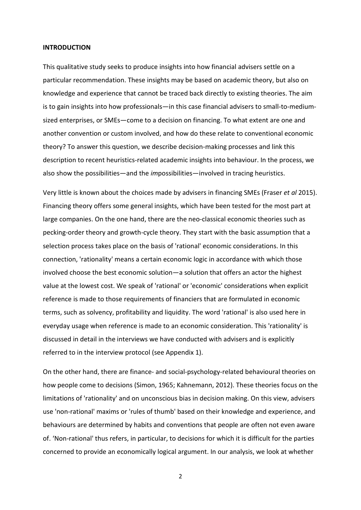#### **INTRODUCTION**

This qualitative study seeks to produce insights into how financial advisers settle on a particular recommendation. These insights may be based on academic theory, but also on knowledge and experience that cannot be traced back directly to existing theories. The aim is to gain insights into how professionals—in this case financial advisers to small-to-mediumsized enterprises, or SMEs—come to a decision on financing. To what extent are one and another convention or custom involved, and how do these relate to conventional economic theory? To answer this question, we describe decision-making processes and link this description to recent heuristics-related academic insights into behaviour. In the process, we also show the possibilities—and the *im*possibilities—involved in tracing heuristics.

Very little is known about the choices made by advisers in financing SMEs (Fraser *et al* 2015). Financing theory offers some general insights, which have been tested for the most part at large companies. On the one hand, there are the neo-classical economic theories such as pecking-order theory and growth-cycle theory. They start with the basic assumption that a selection process takes place on the basis of 'rational' economic considerations. In this connection, 'rationality' means a certain economic logic in accordance with which those involved choose the best economic solution—a solution that offers an actor the highest value at the lowest cost. We speak of 'rational' or 'economic' considerations when explicit reference is made to those requirements of financiers that are formulated in economic terms, such as solvency, profitability and liquidity. The word 'rational' is also used here in everyday usage when reference is made to an economic consideration. This 'rationality' is discussed in detail in the interviews we have conducted with advisers and is explicitly referred to in the interview protocol (see Appendix 1).

On the other hand, there are finance- and social-psychology-related behavioural theories on how people come to decisions (Simon, 1965; Kahnemann, 2012). These theories focus on the limitations of 'rationality' and on unconscious bias in decision making. On this view, advisers use 'non-rational' maxims or 'rules of thumb' based on their knowledge and experience, and behaviours are determined by habits and conventions that people are often not even aware of. 'Non-rational' thus refers, in particular, to decisions for which it is difficult for the parties concerned to provide an economically logical argument. In our analysis, we look at whether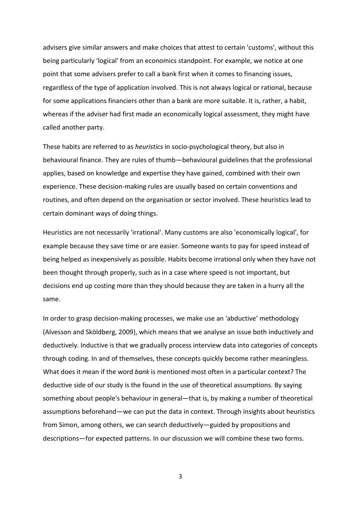advisers give similar answers and make choices that attest to certain 'customs', without this being particularly 'logical' from an economics standpoint. For example, we notice at one point that some advisers prefer to call a bank first when it comes to financing issues, regardless of the type of application involved. This is not always logical or rational, because for some applications financiers other than a bank are more suitable. It is, rather, a habit, whereas if the adviser had first made an economically logical assessment, they might have called another party.

These habits are referred to as *heuristics* in socio-psychological theory, but also in behavioural finance. They are rules of thumb—behavioural guidelines that the professional applies, based on knowledge and expertise they have gained, combined with their own experience. These decision-making rules are usually based on certain conventions and routines, and often depend on the organisation or sector involved. These heuristics lead to certain dominant ways of doing things.

Heuristics are not necessarily 'irrational'. Many customs are also 'economically logical', for example because they save time or are easier. Someone wants to pay for speed instead of being helped as inexpensively as possible. Habits become irrational only when they have not been thought through properly, such as in a case where speed is not important, but decisions end up costing more than they should because they are taken in a hurry all the same.

In order to grasp decision-making processes, we make use an 'abductive' methodology (Alvesson and Sköldberg, 2009), which means that we analyse an issue both inductively and deductively. Inductive is that we gradually process interview data into categories of concepts through coding. In and of themselves, these concepts quickly become rather meaningless. What does it mean if the word *bank* is mentioned most often in a particular context? The deductive side of our study is the found in the use of theoretical assumptions. By saying something about people's behaviour in general—that is, by making a number of theoretical assumptions beforehand—we can put the data in context. Through insights about heuristics from Simon, among others, we can search deductively—guided by propositions and descriptions—for expected patterns. In our discussion we will combine these two forms.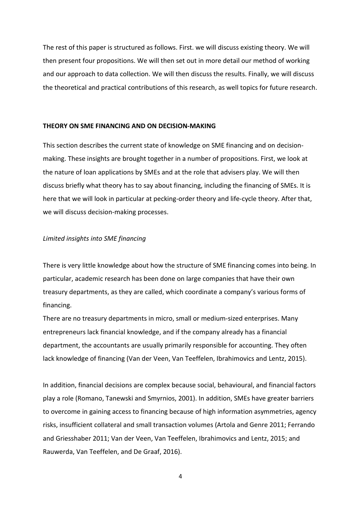The rest of this paper is structured as follows. First. we will discuss existing theory. We will then present four propositions. We will then set out in more detail our method of working and our approach to data collection. We will then discuss the results. Finally, we will discuss the theoretical and practical contributions of this research, as well topics for future research.

#### **THEORY ON SME FINANCING AND ON DECISION-MAKING**

This section describes the current state of knowledge on SME financing and on decisionmaking. These insights are brought together in a number of propositions. First, we look at the nature of loan applications by SMEs and at the role that advisers play. We will then discuss briefly what theory has to say about financing, including the financing of SMEs. It is here that we will look in particular at pecking-order theory and life-cycle theory. After that, we will discuss decision-making processes.

#### *Limited insights into SME financing*

There is very little knowledge about how the structure of SME financing comes into being. In particular, academic research has been done on large companies that have their own treasury departments, as they are called, which coordinate a company's various forms of financing.

There are no treasury departments in micro, small or medium-sized enterprises. Many entrepreneurs lack financial knowledge, and if the company already has a financial department, the accountants are usually primarily responsible for accounting. They often lack knowledge of financing (Van der Veen, Van Teeffelen, Ibrahimovics and Lentz, 2015).

In addition, financial decisions are complex because social, behavioural, and financial factors play a role (Romano, Tanewski and Smyrnios, 2001). In addition, SMEs have greater barriers to overcome in gaining access to financing because of high information asymmetries, agency risks, insufficient collateral and small transaction volumes (Artola and Genre 2011; Ferrando and Griesshaber 2011; Van der Veen, Van Teeffelen, Ibrahimovics and Lentz, 2015; and Rauwerda, Van Teeffelen, and De Graaf, 2016).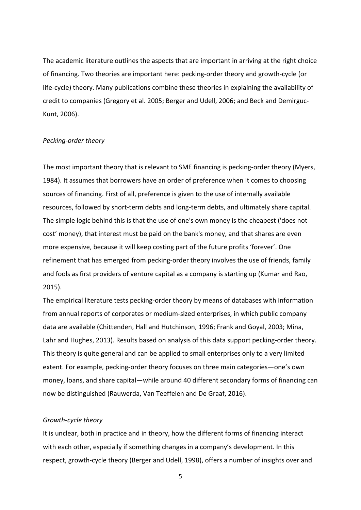The academic literature outlines the aspects that are important in arriving at the right choice of financing. Two theories are important here: pecking-order theory and growth-cycle (or life-cycle) theory. Many publications combine these theories in explaining the availability of credit to companies (Gregory et al. 2005; Berger and Udell, 2006; and Beck and Demirguc-Kunt, 2006).

#### *Pecking-order theory*

The most important theory that is relevant to SME financing is pecking-order theory (Myers, 1984). It assumes that borrowers have an order of preference when it comes to choosing sources of financing. First of all, preference is given to the use of internally available resources, followed by short-term debts and long-term debts, and ultimately share capital. The simple logic behind this is that the use of one's own money is the cheapest ('does not cost' money), that interest must be paid on the bank's money, and that shares are even more expensive, because it will keep costing part of the future profits 'forever'. One refinement that has emerged from pecking-order theory involves the use of friends, family and fools as first providers of venture capital as a company is starting up (Kumar and Rao, 2015).

The empirical literature tests pecking-order theory by means of databases with information from annual reports of corporates or medium-sized enterprises, in which public company data are available (Chittenden, Hall and Hutchinson, 1996; Frank and Goyal, 2003; Mina, Lahr and Hughes, 2013). Results based on analysis of this data support pecking-order theory. This theory is quite general and can be applied to small enterprises only to a very limited extent. For example, pecking-order theory focuses on three main categories—one's own money, loans, and share capital—while around 40 different secondary forms of financing can now be distinguished (Rauwerda, Van Teeffelen and De Graaf, 2016).

#### *Growth-cycle theory*

It is unclear, both in practice and in theory, how the different forms of financing interact with each other, especially if something changes in a company's development. In this respect, growth-cycle theory (Berger and Udell, 1998), offers a number of insights over and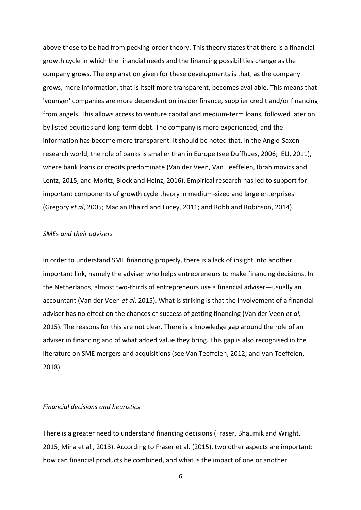above those to be had from pecking-order theory. This theory states that there is a financial growth cycle in which the financial needs and the financing possibilities change as the company grows. The explanation given for these developments is that, as the company grows, more information, that is itself more transparent, becomes available. This means that 'younger' companies are more dependent on insider finance, supplier credit and/or financing from angels. This allows access to venture capital and medium-term loans, followed later on by listed equities and long-term debt. The company is more experienced, and the information has become more transparent. It should be noted that, in the Anglo-Saxon research world, the role of banks is smaller than in Europe (see Duffhues, 2006; ELI, 2011), where bank loans or credits predominate (Van der Veen, Van Teeffelen, Ibrahimovics and Lentz, 2015; and Moritz, Block and Heinz, 2016). Empirical research has led to support for important components of growth cycle theory in medium-sized and large enterprises (Gregory *et al*, 2005; Mac an Bhaird and Lucey, 2011; and Robb and Robinson, 2014).

#### *SMEs and their advisers*

In order to understand SME financing properly, there is a lack of insight into another important link, namely the adviser who helps entrepreneurs to make financing decisions. In the Netherlands, almost two-thirds of entrepreneurs use a financial adviser—usually an accountant (Van der Veen *et al*, 2015). What is striking is that the involvement of a financial adviser has no effect on the chances of success of getting financing (Van der Veen *et al,* 2015). The reasons for this are not clear. There is a knowledge gap around the role of an adviser in financing and of what added value they bring. This gap is also recognised in the literature on SME mergers and acquisitions (see Van Teeffelen, 2012; and Van Teeffelen, 2018).

#### *Financial decisions and heuristics*

There is a greater need to understand financing decisions (Fraser, Bhaumik and Wright, 2015; Mina et al., 2013). According to Fraser et al. (2015), two other aspects are important: how can financial products be combined, and what is the impact of one or another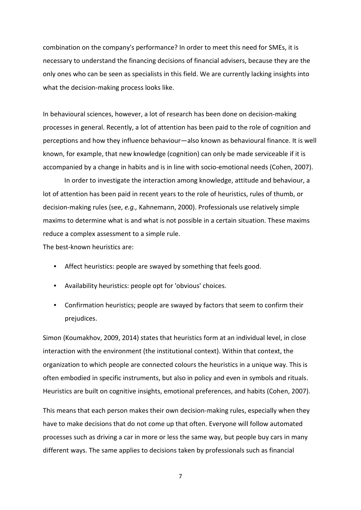combination on the company's performance? In order to meet this need for SMEs, it is necessary to understand the financing decisions of financial advisers, because they are the only ones who can be seen as specialists in this field. We are currently lacking insights into what the decision-making process looks like.

In behavioural sciences, however, a lot of research has been done on decision-making processes in general. Recently, a lot of attention has been paid to the role of cognition and perceptions and how they influence behaviour—also known as behavioural finance. It is well known, for example, that new knowledge (cognition) can only be made serviceable if it is accompanied by a change in habits and is in line with socio-emotional needs (Cohen, 2007).

In order to investigate the interaction among knowledge, attitude and behaviour, a lot of attention has been paid in recent years to the role of heuristics, rules of thumb, or decision-making rules (see, *e.g.,* Kahnemann, 2000). Professionals use relatively simple maxims to determine what is and what is not possible in a certain situation. These maxims reduce a complex assessment to a simple rule.

The best-known heuristics are:

- Affect heuristics: people are swayed by something that feels good.
- Availability heuristics: people opt for 'obvious' choices.
- Confirmation heuristics; people are swayed by factors that seem to confirm their prejudices.

Simon (Koumakhov, 2009, 2014) states that heuristics form at an individual level, in close interaction with the environment (the institutional context). Within that context, the organization to which people are connected colours the heuristics in a unique way. This is often embodied in specific instruments, but also in policy and even in symbols and rituals. Heuristics are built on cognitive insights, emotional preferences, and habits (Cohen, 2007).

This means that each person makes their own decision-making rules, especially when they have to make decisions that do not come up that often. Everyone will follow automated processes such as driving a car in more or less the same way, but people buy cars in many different ways. The same applies to decisions taken by professionals such as financial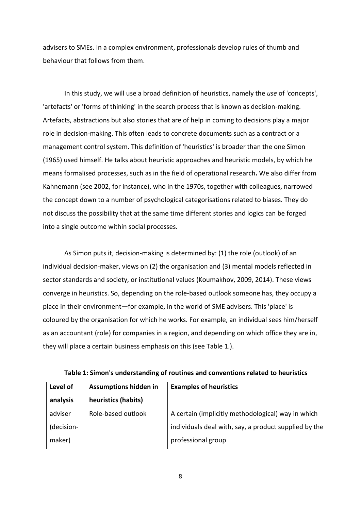advisers to SMEs. In a complex environment, professionals develop rules of thumb and behaviour that follows from them.

In this study, we will use a broad definition of heuristics, namely the *use* of 'concepts', 'artefacts' or 'forms of thinking' in the search process that is known as decision-making. Artefacts, abstractions but also stories that are of help in coming to decisions play a major role in decision-making. This often leads to concrete documents such as a contract or a management control system. This definition of 'heuristics' is broader than the one Simon (1965) used himself. He talks about heuristic approaches and heuristic models, by which he means formalised processes, such as in the field of operational research**.** We also differ from Kahnemann (see 2002, for instance), who in the 1970s, together with colleagues, narrowed the concept down to a number of psychological categorisations related to biases. They do not discuss the possibility that at the same time different stories and logics can be forged into a single outcome within social processes.

As Simon puts it, decision-making is determined by: (1) the role (outlook) of an individual decision-maker, views on (2) the organisation and (3) mental models reflected in sector standards and society, or institutional values (Koumakhov, 2009, 2014). These views converge in heuristics. So, depending on the role-based outlook someone has, they occupy a place in their environment—for example, in the world of SME advisers. This 'place' is coloured by the organisation for which he works. For example, an individual sees him/herself as an accountant (role) for companies in a region, and depending on which office they are in, they will place a certain business emphasis on this (see Table 1.).

| Level of  | <b>Assumptions hidden in</b> | <b>Examples of heuristics</b>                         |  |
|-----------|------------------------------|-------------------------------------------------------|--|
| analysis  | heuristics (habits)          |                                                       |  |
| adviser   | Role-based outlook           | A certain (implicitly methodological) way in which    |  |
| decision- |                              | individuals deal with, say, a product supplied by the |  |
| maker)    |                              | professional group                                    |  |

**Table 1: Simon's understanding of routines and conventions related to heuristics**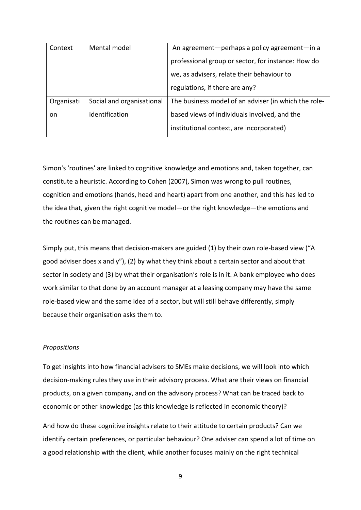| Context    | Mental model              | An agreement-perhaps a policy agreement-in a         |  |
|------------|---------------------------|------------------------------------------------------|--|
|            |                           | professional group or sector, for instance: How do   |  |
|            |                           | we, as advisers, relate their behaviour to           |  |
|            |                           | regulations, if there are any?                       |  |
| Organisati | Social and organisational | The business model of an adviser (in which the role- |  |
| on.        | identification            | based views of individuals involved, and the         |  |
|            |                           | institutional context, are incorporated)             |  |

Simon's 'routines' are linked to cognitive knowledge and emotions and, taken together, can constitute a heuristic. According to Cohen (2007), Simon was wrong to pull routines, cognition and emotions (hands, head and heart) apart from one another, and this has led to the idea that, given the right cognitive model—or the right knowledge—the emotions and the routines can be managed.

Simply put, this means that decision-makers are guided (1) by their own role-based view ("A good adviser does x and y"), (2) by what they think about a certain sector and about that sector in society and (3) by what their organisation's role is in it. A bank employee who does work similar to that done by an account manager at a leasing company may have the same role-based view and the same idea of a sector, but will still behave differently, simply because their organisation asks them to.

## *Propositions*

To get insights into how financial advisers to SMEs make decisions, we will look into which decision-making rules they use in their advisory process. What are their views on financial products, on a given company, and on the advisory process? What can be traced back to economic or other knowledge (as this knowledge is reflected in economic theory)?

And how do these cognitive insights relate to their attitude to certain products? Can we identify certain preferences, or particular behaviour? One adviser can spend a lot of time on a good relationship with the client, while another focuses mainly on the right technical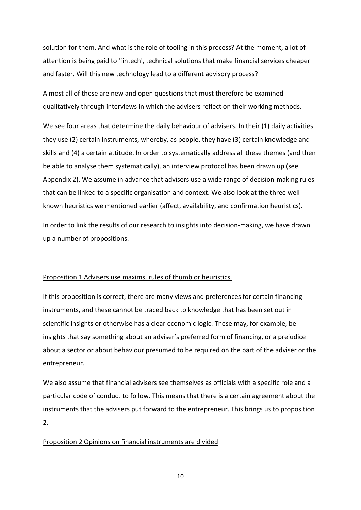solution for them. And what is the role of tooling in this process? At the moment, a lot of attention is being paid to 'fintech', technical solutions that make financial services cheaper and faster. Will this new technology lead to a different advisory process?

Almost all of these are new and open questions that must therefore be examined qualitatively through interviews in which the advisers reflect on their working methods.

We see four areas that determine the daily behaviour of advisers. In their (1) daily activities they use (2) certain instruments, whereby, as people, they have (3) certain knowledge and skills and (4) a certain attitude. In order to systematically address all these themes (and then be able to analyse them systematically), an interview protocol has been drawn up (see Appendix 2). We assume in advance that advisers use a wide range of decision-making rules that can be linked to a specific organisation and context. We also look at the three wellknown heuristics we mentioned earlier (affect, availability, and confirmation heuristics).

In order to link the results of our research to insights into decision-making, we have drawn up a number of propositions.

### Proposition 1 Advisers use maxims, rules of thumb or heuristics.

If this proposition is correct, there are many views and preferences for certain financing instruments, and these cannot be traced back to knowledge that has been set out in scientific insights or otherwise has a clear economic logic. These may, for example, be insights that say something about an adviser's preferred form of financing, or a prejudice about a sector or about behaviour presumed to be required on the part of the adviser or the entrepreneur.

We also assume that financial advisers see themselves as officials with a specific role and a particular code of conduct to follow. This means that there is a certain agreement about the instruments that the advisers put forward to the entrepreneur. This brings us to proposition 2.

#### Proposition 2 Opinions on financial instruments are divided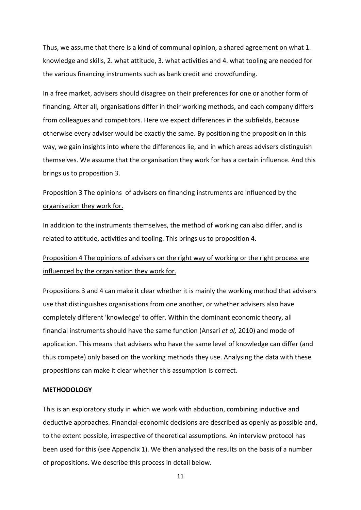Thus, we assume that there is a kind of communal opinion, a shared agreement on what 1. knowledge and skills, 2. what attitude, 3. what activities and 4. what tooling are needed for the various financing instruments such as bank credit and crowdfunding.

In a free market, advisers should disagree on their preferences for one or another form of financing. After all, organisations differ in their working methods, and each company differs from colleagues and competitors. Here we expect differences in the subfields, because otherwise every adviser would be exactly the same. By positioning the proposition in this way, we gain insights into where the differences lie, and in which areas advisers distinguish themselves. We assume that the organisation they work for has a certain influence. And this brings us to proposition 3.

# Proposition 3 The opinions of advisers on financing instruments are influenced by the organisation they work for.

In addition to the instruments themselves, the method of working can also differ, and is related to attitude, activities and tooling. This brings us to proposition 4.

# Proposition 4 The opinions of advisers on the right way of working or the right process are influenced by the organisation they work for.

Propositions 3 and 4 can make it clear whether it is mainly the working method that advisers use that distinguishes organisations from one another, or whether advisers also have completely different 'knowledge' to offer. Within the dominant economic theory, all financial instruments should have the same function (Ansari *et al,* 2010) and mode of application. This means that advisers who have the same level of knowledge can differ (and thus compete) only based on the working methods they use. Analysing the data with these propositions can make it clear whether this assumption is correct.

#### **METHODOLOGY**

This is an exploratory study in which we work with abduction, combining inductive and deductive approaches. Financial-economic decisions are described as openly as possible and, to the extent possible, irrespective of theoretical assumptions. An interview protocol has been used for this (see Appendix 1). We then analysed the results on the basis of a number of propositions. We describe this process in detail below.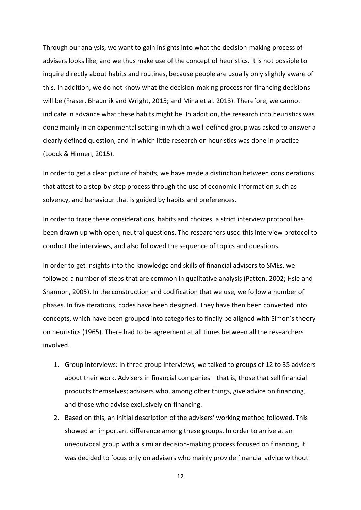Through our analysis, we want to gain insights into what the decision-making process of advisers looks like, and we thus make use of the concept of heuristics. It is not possible to inquire directly about habits and routines, because people are usually only slightly aware of this. In addition, we do not know what the decision-making process for financing decisions will be (Fraser, Bhaumik and Wright, 2015; and Mina et al. 2013). Therefore, we cannot indicate in advance what these habits might be. In addition, the research into heuristics was done mainly in an experimental setting in which a well-defined group was asked to answer a clearly defined question, and in which little research on heuristics was done in practice (Loock & Hinnen, 2015).

In order to get a clear picture of habits, we have made a distinction between considerations that attest to a step-by-step process through the use of economic information such as solvency, and behaviour that is guided by habits and preferences.

In order to trace these considerations, habits and choices, a strict interview protocol has been drawn up with open, neutral questions. The researchers used this interview protocol to conduct the interviews, and also followed the sequence of topics and questions.

In order to get insights into the knowledge and skills of financial advisers to SMEs, we followed a number of steps that are common in qualitative analysis (Patton, 2002; Hsie and Shannon, 2005). In the construction and codification that we use, we follow a number of phases. In five iterations, codes have been designed. They have then been converted into concepts, which have been grouped into categories to finally be aligned with Simon's theory on heuristics (1965). There had to be agreement at all times between all the researchers involved.

- 1. Group interviews: In three group interviews, we talked to groups of 12 to 35 advisers about their work. Advisers in financial companies—that is, those that sell financial products themselves; advisers who, among other things, give advice on financing, and those who advise exclusively on financing.
- 2. Based on this, an initial description of the advisers' working method followed. This showed an important difference among these groups. In order to arrive at an unequivocal group with a similar decision-making process focused on financing, it was decided to focus only on advisers who mainly provide financial advice without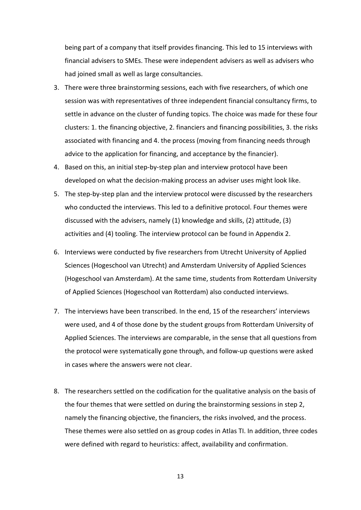being part of a company that itself provides financing. This led to 15 interviews with financial advisers to SMEs. These were independent advisers as well as advisers who had joined small as well as large consultancies.

- 3. There were three brainstorming sessions, each with five researchers, of which one session was with representatives of three independent financial consultancy firms, to settle in advance on the cluster of funding topics. The choice was made for these four clusters: 1. the financing objective, 2. financiers and financing possibilities, 3. the risks associated with financing and 4. the process (moving from financing needs through advice to the application for financing, and acceptance by the financier).
- 4. Based on this, an initial step-by-step plan and interview protocol have been developed on what the decision-making process an adviser uses might look like.
- 5. The step-by-step plan and the interview protocol were discussed by the researchers who conducted the interviews. This led to a definitive protocol. Four themes were discussed with the advisers, namely (1) knowledge and skills, (2) attitude, (3) activities and (4) tooling. The interview protocol can be found in Appendix 2.
- 6. Interviews were conducted by five researchers from Utrecht University of Applied Sciences (Hogeschool van Utrecht) and Amsterdam University of Applied Sciences (Hogeschool van Amsterdam). At the same time, students from Rotterdam University of Applied Sciences (Hogeschool van Rotterdam) also conducted interviews.
- 7. The interviews have been transcribed. In the end, 15 of the researchers' interviews were used, and 4 of those done by the student groups from Rotterdam University of Applied Sciences. The interviews are comparable, in the sense that all questions from the protocol were systematically gone through, and follow-up questions were asked in cases where the answers were not clear.
- 8. The researchers settled on the codification for the qualitative analysis on the basis of the four themes that were settled on during the brainstorming sessions in step 2, namely the financing objective, the financiers, the risks involved, and the process. These themes were also settled on as group codes in Atlas TI. In addition, three codes were defined with regard to heuristics: affect, availability and confirmation.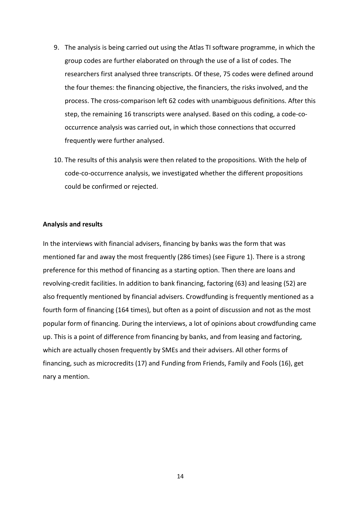- 9. The analysis is being carried out using the Atlas TI software programme, in which the group codes are further elaborated on through the use of a list of codes. The researchers first analysed three transcripts. Of these, 75 codes were defined around the four themes: the financing objective, the financiers, the risks involved, and the process. The cross-comparison left 62 codes with unambiguous definitions. After this step, the remaining 16 transcripts were analysed. Based on this coding, a code-cooccurrence analysis was carried out, in which those connections that occurred frequently were further analysed.
- 10. The results of this analysis were then related to the propositions. With the help of code-co-occurrence analysis, we investigated whether the different propositions could be confirmed or rejected.

#### **Analysis and results**

In the interviews with financial advisers, financing by banks was the form that was mentioned far and away the most frequently (286 times) (see Figure 1). There is a strong preference for this method of financing as a starting option. Then there are loans and revolving-credit facilities. In addition to bank financing, factoring (63) and leasing (52) are also frequently mentioned by financial advisers. Crowdfunding is frequently mentioned as a fourth form of financing (164 times), but often as a point of discussion and not as the most popular form of financing. During the interviews, a lot of opinions about crowdfunding came up. This is a point of difference from financing by banks, and from leasing and factoring, which are actually chosen frequently by SMEs and their advisers. All other forms of financing, such as microcredits (17) and Funding from Friends, Family and Fools (16), get nary a mention.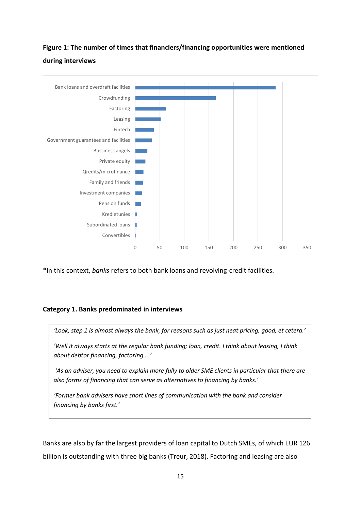# **Figure 1: The number of times that financiers/financing opportunities were mentioned during interviews**



\*In this context, *banks* refers to both bank loans and revolving-credit facilities.

## **Category 1. Banks predominated in interviews**



*'Well it always starts at the regular bank funding; loan, credit. I think about leasing, I think about debtor financing, factoring ...'*

*'As an adviser, you need to explain more fully to older SME clients in particular that there are also forms of financing that can serve as alternatives to financing by banks.'*

*'Former bank advisers have short lines of communication with the bank and consider financing by banks first.'*

Banks are also by far the largest providers of loan capital to Dutch SMEs, of which EUR 126 billion is outstanding with three big banks (Treur, 2018). Factoring and leasing are also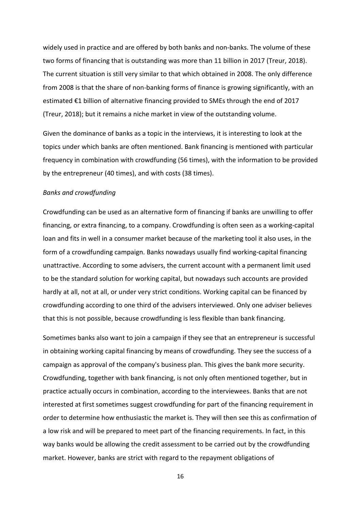widely used in practice and are offered by both banks and non-banks. The volume of these two forms of financing that is outstanding was more than 11 billion in 2017 (Treur, 2018). The current situation is still very similar to that which obtained in 2008. The only difference from 2008 is that the share of non-banking forms of finance is growing significantly, with an estimated €1 billion of alternative financing provided to SMEs through the end of 2017 (Treur, 2018); but it remains a niche market in view of the outstanding volume.

Given the dominance of banks as a topic in the interviews, it is interesting to look at the topics under which banks are often mentioned. Bank financing is mentioned with particular frequency in combination with crowdfunding (56 times), with the information to be provided by the entrepreneur (40 times), and with costs (38 times).

#### *Banks and crowdfunding*

Crowdfunding can be used as an alternative form of financing if banks are unwilling to offer financing, or extra financing, to a company. Crowdfunding is often seen as a working-capital loan and fits in well in a consumer market because of the marketing tool it also uses, in the form of a crowdfunding campaign. Banks nowadays usually find working-capital financing unattractive. According to some advisers, the current account with a permanent limit used to be the standard solution for working capital, but nowadays such accounts are provided hardly at all, not at all, or under very strict conditions. Working capital can be financed by crowdfunding according to one third of the advisers interviewed. Only one adviser believes that this is not possible, because crowdfunding is less flexible than bank financing.

Sometimes banks also want to join a campaign if they see that an entrepreneur is successful in obtaining working capital financing by means of crowdfunding. They see the success of a campaign as approval of the company's business plan. This gives the bank more security. Crowdfunding, together with bank financing, is not only often mentioned together, but in practice actually occurs in combination, according to the interviewees. Banks that are not interested at first sometimes suggest crowdfunding for part of the financing requirement in order to determine how enthusiastic the market is. They will then see this as confirmation of a low risk and will be prepared to meet part of the financing requirements. In fact, in this way banks would be allowing the credit assessment to be carried out by the crowdfunding market. However, banks are strict with regard to the repayment obligations of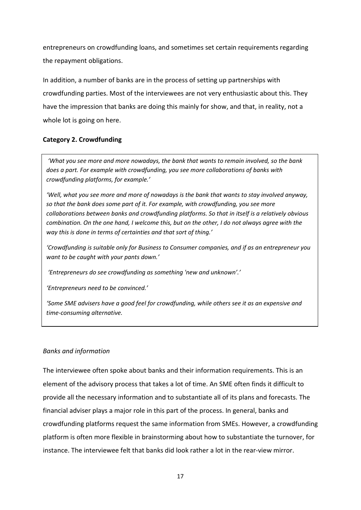entrepreneurs on crowdfunding loans, and sometimes set certain requirements regarding the repayment obligations.

In addition, a number of banks are in the process of setting up partnerships with crowdfunding parties. Most of the interviewees are not very enthusiastic about this. They have the impression that banks are doing this mainly for show, and that, in reality, not a whole lot is going on here.

## **Category 2. Crowdfunding**

*'What you see more and more nowadays, the bank that wants to remain involved, so the bank does a part. For example with crowdfunding, you see more collaborations of banks with crowdfunding platforms, for example.'*

*'Well, what you see more and more of nowadays is the bank that wants to stay involved anyway, so that the bank does some part of it. For example, with crowdfunding, you see more collaborations between banks and crowdfunding platforms. So that in itself is a relatively obvious combination. On the one hand, I welcome this, but on the other, I do not always agree with the way this is done in terms of certainties and that sort of thing.'*

*'Crowdfunding is suitable only for Business to Consumer companies, and if as an entrepreneur you want to be caught with your pants down.'*

*'Entrepreneurs do see crowdfunding as something 'new and unknown'.'*

*'Entrepreneurs need to be convinced.'*

*'Some SME advisers have a good feel for crowdfunding, while others see it as an expensive and time-consuming alternative.*

## *Banks and information*

The interviewee often spoke about banks and their information requirements. This is an element of the advisory process that takes a lot of time. An SME often finds it difficult to provide all the necessary information and to substantiate all of its plans and forecasts. The financial adviser plays a major role in this part of the process. In general, banks and crowdfunding platforms request the same information from SMEs. However, a crowdfunding platform is often more flexible in brainstorming about how to substantiate the turnover, for instance. The interviewee felt that banks did look rather a lot in the rear-view mirror.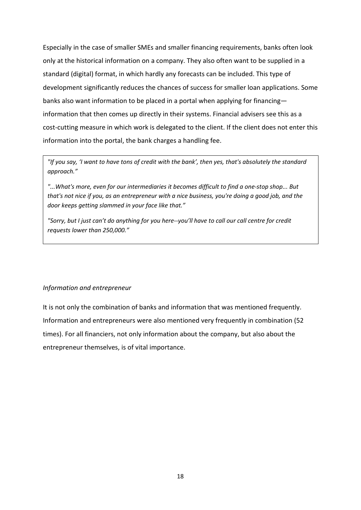Especially in the case of smaller SMEs and smaller financing requirements, banks often look only at the historical information on a company. They also often want to be supplied in a standard (digital) format, in which hardly any forecasts can be included. This type of development significantly reduces the chances of success for smaller loan applications. Some banks also want information to be placed in a portal when applying for financing information that then comes up directly in their systems. Financial advisers see this as a cost-cutting measure in which work is delegated to the client. If the client does not enter this information into the portal, the bank charges a handling fee.

*"If you say, 'I want to have tons of credit with the bank', then yes, that's absolutely the standard approach."*

*"...What's more, even for our intermediaries it becomes difficult to find a one-stop shop... But that's not nice if you, as an entrepreneur with a nice business, you're doing a good job, and the door keeps getting slammed in your face like that."*

*"Sorry, but I just can't do anything for you here--you'll have to call our call centre for credit requests lower than 250,000."*

## *Information and entrepreneur*

It is not only the combination of banks and information that was mentioned frequently. Information and entrepreneurs were also mentioned very frequently in combination (52 times). For all financiers, not only information about the company, but also about the entrepreneur themselves, is of vital importance.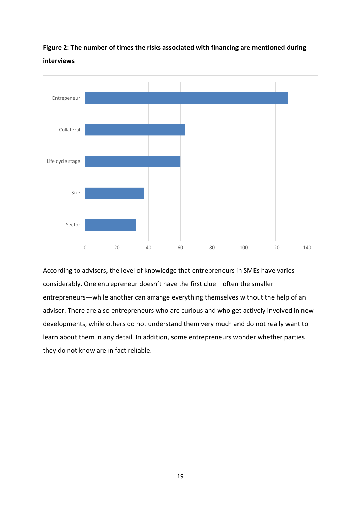



According to advisers, the level of knowledge that entrepreneurs in SMEs have varies considerably. One entrepreneur doesn't have the first clue—often the smaller entrepreneurs—while another can arrange everything themselves without the help of an adviser. There are also entrepreneurs who are curious and who get actively involved in new developments, while others do not understand them very much and do not really want to learn about them in any detail. In addition, some entrepreneurs wonder whether parties they do not know are in fact reliable.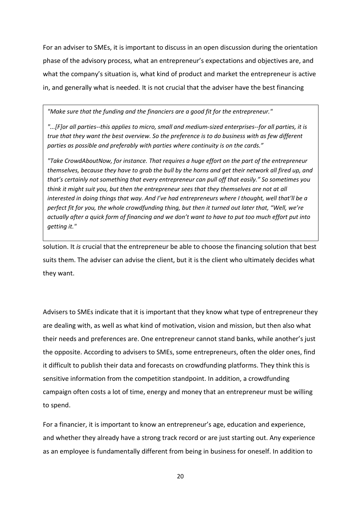For an adviser to SMEs, it is important to discuss in an open discussion during the orientation phase of the advisory process, what an entrepreneur's expectations and objectives are, and what the company's situation is, what kind of product and market the entrepreneur is active in, and generally what is needed. It is not crucial that the adviser have the best financing

*"Make sure that the funding and the financiers are a good fit for the entrepreneur."* 

*"...[F]or all parties--this applies to micro, small and medium-sized enterprises--for all parties, it is true that they want the best overview. So the preference is to do business with as few different parties as possible and preferably with parties where continuity is on the cards."*

*"Take CrowdAboutNow, for instance. That requires a huge effort on the part of the entrepreneur themselves, because they have to grab the bull by the horns and get their network all fired up, and that's certainly not something that every entrepreneur can pull off that easily." So sometimes you think it might suit you, but then the entrepreneur sees that they themselves are not at all interested in doing things that way. And I've had entrepreneurs where I thought, well that'll be a perfect fit for you, the whole crowdfunding thing, but then it turned out later that, "Well, we're actually after a quick form of financing and we don't want to have to put too much effort put into getting it."*

solution. It *is* crucial that the entrepreneur be able to choose the financing solution that best suits them. The adviser can advise the client, but it is the client who ultimately decides what they want.

Advisers to SMEs indicate that it is important that they know what type of entrepreneur they are dealing with, as well as what kind of motivation, vision and mission, but then also what their needs and preferences are. One entrepreneur cannot stand banks, while another's just the opposite. According to advisers to SMEs, some entrepreneurs, often the older ones, find it difficult to publish their data and forecasts on crowdfunding platforms. They think this is sensitive information from the competition standpoint. In addition, a crowdfunding campaign often costs a lot of time, energy and money that an entrepreneur must be willing to spend.

For a financier, it is important to know an entrepreneur's age, education and experience, and whether they already have a strong track record or are just starting out. Any experience as an employee is fundamentally different from being in business for oneself. In addition to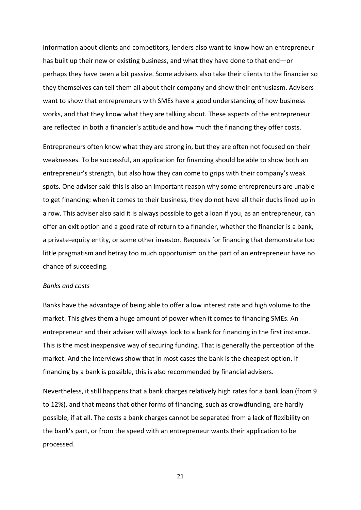information about clients and competitors, lenders also want to know how an entrepreneur has built up their new or existing business, and what they have done to that end—or perhaps they have been a bit passive. Some advisers also take their clients to the financier so they themselves can tell them all about their company and show their enthusiasm. Advisers want to show that entrepreneurs with SMEs have a good understanding of how business works, and that they know what they are talking about. These aspects of the entrepreneur are reflected in both a financier's attitude and how much the financing they offer costs.

Entrepreneurs often know what they are strong in, but they are often not focused on their weaknesses. To be successful, an application for financing should be able to show both an entrepreneur's strength, but also how they can come to grips with their company's weak spots. One adviser said this is also an important reason why some entrepreneurs are unable to get financing: when it comes to their business, they do not have all their ducks lined up in a row. This adviser also said it is always possible to get a loan if you, as an entrepreneur, can offer an exit option and a good rate of return to a financier, whether the financier is a bank, a private-equity entity, or some other investor. Requests for financing that demonstrate too little pragmatism and betray too much opportunism on the part of an entrepreneur have no chance of succeeding.

#### *Banks and costs*

Banks have the advantage of being able to offer a low interest rate and high volume to the market. This gives them a huge amount of power when it comes to financing SMEs. An entrepreneur and their adviser will always look to a bank for financing in the first instance. This is the most inexpensive way of securing funding. That is generally the perception of the market. And the interviews show that in most cases the bank is the cheapest option. If financing by a bank is possible, this is also recommended by financial advisers.

Nevertheless, it still happens that a bank charges relatively high rates for a bank loan (from 9 to 12%), and that means that other forms of financing, such as crowdfunding, are hardly possible, if at all. The costs a bank charges cannot be separated from a lack of flexibility on the bank's part, or from the speed with an entrepreneur wants their application to be processed.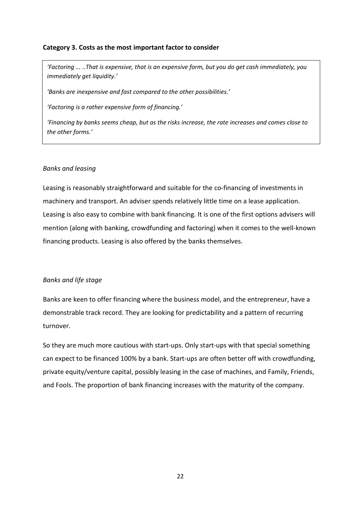## **Category 3. Costs as the most important factor to consider**

*'Factoring ... ..That is expensive, that is an expensive form, but you do get cash immediately, you immediately get liquidity.'*

*'Banks are inexpensive and fast compared to the other possibilities.'*

*'Factoring is a rather expensive form of financing.'*

*'Financing by banks seems cheap, but as the risks increase, the rate increases and comes close to the other forms.'*

## *Banks and leasing*

Leasing is reasonably straightforward and suitable for the co-financing of investments in machinery and transport. An adviser spends relatively little time on a lease application. Leasing is also easy to combine with bank financing. It is one of the first options advisers will mention (along with banking, crowdfunding and factoring) when it comes to the well-known financing products. Leasing is also offered by the banks themselves.

## *Banks and life stage*

Banks are keen to offer financing where the business model, and the entrepreneur, have a demonstrable track record. They are looking for predictability and a pattern of recurring turnover.

So they are much more cautious with start-ups. Only start-ups with that special something can expect to be financed 100% by a bank. Start-ups are often better off with crowdfunding, private equity/venture capital, possibly leasing in the case of machines, and Family, Friends, and Fools. The proportion of bank financing increases with the maturity of the company.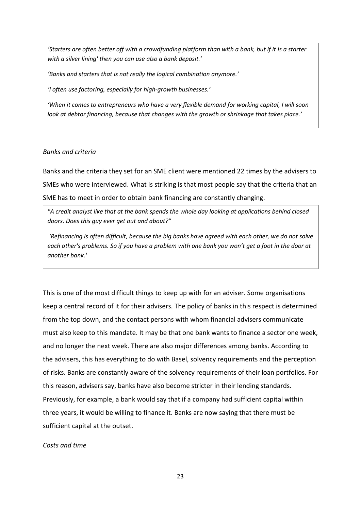*'Starters are often better off with a crowdfunding platform than with a bank, but if it is a starter with a silver lining' then you can use also a bank deposit.'*

*'Banks and starters that is not really the logical combination anymore.'*

*'I often use factoring, especially for high-growth businesses.'*

*'When it comes to entrepreneurs who have a very flexible demand for working capital, I will soon look at debtor financing, because that changes with the growth or shrinkage that takes place.'*

### *Banks and criteria*

Banks and the criteria they set for an SME client were mentioned 22 times by the advisers to SMEs who were interviewed. What is striking is that most people say that the criteria that an SME has to meet in order to obtain bank financing are constantly changing.

*"A credit analyst like that at the bank spends the whole day looking at applications behind closed doors. Does this guy ever get out and about?"*

*'Refinancing is often difficult, because the big banks have agreed with each other, we do not solve each other's problems. So if you have a problem with one bank you won't get a foot in the door at another bank.'*

This is one of the most difficult things to keep up with for an adviser. Some organisations keep a central record of it for their advisers. The policy of banks in this respect is determined from the top down, and the contact persons with whom financial advisers communicate must also keep to this mandate. It may be that one bank wants to finance a sector one week, and no longer the next week. There are also major differences among banks. According to the advisers, this has everything to do with Basel, solvency requirements and the perception of risks. Banks are constantly aware of the solvency requirements of their loan portfolios. For this reason, advisers say, banks have also become stricter in their lending standards. Previously, for example, a bank would say that if a company had sufficient capital within three years, it would be willing to finance it. Banks are now saying that there must be sufficient capital at the outset.

#### *Costs and time*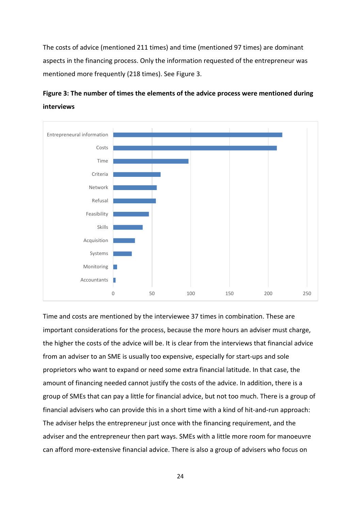The costs of advice (mentioned 211 times) and time (mentioned 97 times) are dominant aspects in the financing process. Only the information requested of the entrepreneur was mentioned more frequently (218 times). See Figure 3.



# **Figure 3: The number of times the elements of the advice process were mentioned during interviews**

Time and costs are mentioned by the interviewee 37 times in combination. These are important considerations for the process, because the more hours an adviser must charge, the higher the costs of the advice will be. It is clear from the interviews that financial advice from an adviser to an SME is usually too expensive, especially for start-ups and sole proprietors who want to expand or need some extra financial latitude. In that case, the amount of financing needed cannot justify the costs of the advice. In addition, there is a group of SMEs that can pay a little for financial advice, but not too much. There is a group of financial advisers who can provide this in a short time with a kind of hit-and-run approach: The adviser helps the entrepreneur just once with the financing requirement, and the adviser and the entrepreneur then part ways. SMEs with a little more room for manoeuvre can afford more-extensive financial advice. There is also a group of advisers who focus on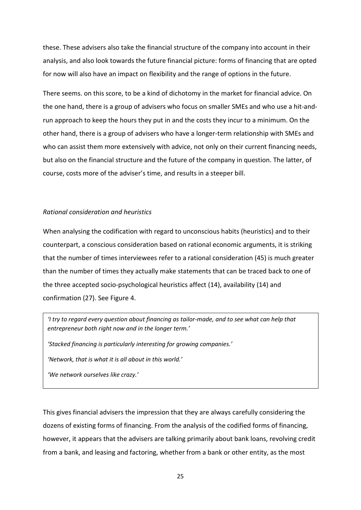these. These advisers also take the financial structure of the company into account in their analysis, and also look towards the future financial picture: forms of financing that are opted for now will also have an impact on flexibility and the range of options in the future.

There seems. on this score, to be a kind of dichotomy in the market for financial advice. On the one hand, there is a group of advisers who focus on smaller SMEs and who use a hit-andrun approach to keep the hours they put in and the costs they incur to a minimum. On the other hand, there is a group of advisers who have a longer-term relationship with SMEs and who can assist them more extensively with advice, not only on their current financing needs, but also on the financial structure and the future of the company in question. The latter, of course, costs more of the adviser's time, and results in a steeper bill.

### *Rational consideration and heuristics*

When analysing the codification with regard to unconscious habits (heuristics) and to their counterpart, a conscious consideration based on rational economic arguments, it is striking that the number of times interviewees refer to a rational consideration (45) is much greater than the number of times they actually make statements that can be traced back to one of the three accepted socio-psychological heuristics affect (14), availability (14) and confirmation (27). See Figure 4.

*'I try to regard every question about financing as tailor-made, and to see what can help that entrepreneur both right now and in the longer term.'*

*'Stacked financing is particularly interesting for growing companies.'*

*'Network, that is what it is all about in this world.'*

*'We network ourselves like crazy.'*

This gives financial advisers the impression that they are always carefully considering the dozens of existing forms of financing. From the analysis of the codified forms of financing, however, it appears that the advisers are talking primarily about bank loans, revolving credit from a bank, and leasing and factoring, whether from a bank or other entity, as the most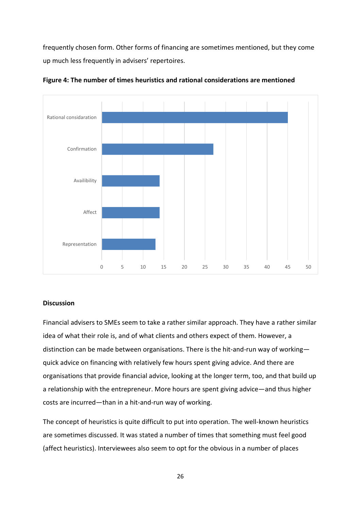frequently chosen form. Other forms of financing are sometimes mentioned, but they come up much less frequently in advisers' repertoires.



**Figure 4: The number of times heuristics and rational considerations are mentioned**

## **Discussion**

Financial advisers to SMEs seem to take a rather similar approach. They have a rather similar idea of what their role is, and of what clients and others expect of them. However, a distinction can be made between organisations. There is the hit-and-run way of working quick advice on financing with relatively few hours spent giving advice. And there are organisations that provide financial advice, looking at the longer term, too, and that build up a relationship with the entrepreneur. More hours are spent giving advice—and thus higher costs are incurred—than in a hit-and-run way of working.

The concept of heuristics is quite difficult to put into operation. The well-known heuristics are sometimes discussed. It was stated a number of times that something must feel good (affect heuristics). Interviewees also seem to opt for the obvious in a number of places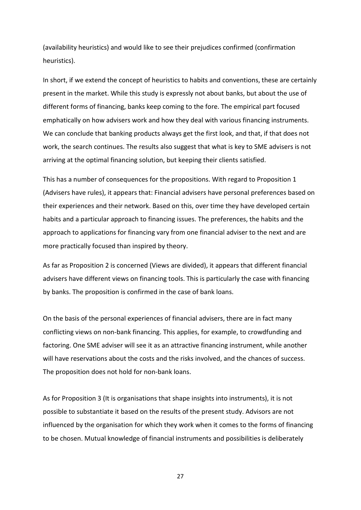(availability heuristics) and would like to see their prejudices confirmed (confirmation heuristics).

In short, if we extend the concept of heuristics to habits and conventions, these are certainly present in the market. While this study is expressly not about banks, but about the use of different forms of financing, banks keep coming to the fore. The empirical part focused emphatically on how advisers work and how they deal with various financing instruments. We can conclude that banking products always get the first look, and that, if that does not work, the search continues. The results also suggest that what is key to SME advisers is not arriving at the optimal financing solution, but keeping their clients satisfied.

This has a number of consequences for the propositions. With regard to Proposition 1 (Advisers have rules), it appears that: Financial advisers have personal preferences based on their experiences and their network. Based on this, over time they have developed certain habits and a particular approach to financing issues. The preferences, the habits and the approach to applications for financing vary from one financial adviser to the next and are more practically focused than inspired by theory.

As far as Proposition 2 is concerned (Views are divided), it appears that different financial advisers have different views on financing tools. This is particularly the case with financing by banks. The proposition is confirmed in the case of bank loans.

On the basis of the personal experiences of financial advisers, there are in fact many conflicting views on non-bank financing. This applies, for example, to crowdfunding and factoring. One SME adviser will see it as an attractive financing instrument, while another will have reservations about the costs and the risks involved, and the chances of success. The proposition does not hold for non-bank loans.

As for Proposition 3 (It is organisations that shape insights into instruments), it is not possible to substantiate it based on the results of the present study. Advisors are not influenced by the organisation for which they work when it comes to the forms of financing to be chosen. Mutual knowledge of financial instruments and possibilities is deliberately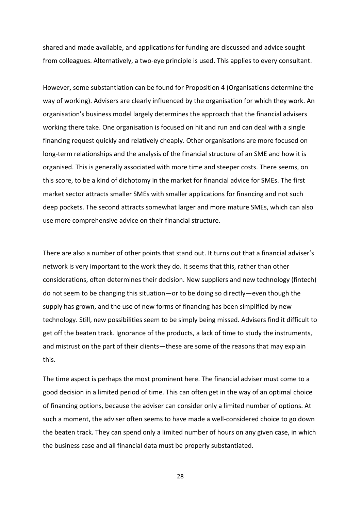shared and made available, and applications for funding are discussed and advice sought from colleagues. Alternatively, a two-eye principle is used. This applies to every consultant.

However, some substantiation can be found for Proposition 4 (Organisations determine the way of working). Advisers are clearly influenced by the organisation for which they work. An organisation's business model largely determines the approach that the financial advisers working there take. One organisation is focused on hit and run and can deal with a single financing request quickly and relatively cheaply. Other organisations are more focused on long-term relationships and the analysis of the financial structure of an SME and how it is organised. This is generally associated with more time and steeper costs. There seems, on this score, to be a kind of dichotomy in the market for financial advice for SMEs. The first market sector attracts smaller SMEs with smaller applications for financing and not such deep pockets. The second attracts somewhat larger and more mature SMEs, which can also use more comprehensive advice on their financial structure.

There are also a number of other points that stand out. It turns out that a financial adviser's network is very important to the work they do. It seems that this, rather than other considerations, often determines their decision. New suppliers and new technology (fintech) do not seem to be changing this situation—or to be doing so directly—even though the supply has grown, and the use of new forms of financing has been simplified by new technology. Still, new possibilities seem to be simply being missed. Advisers find it difficult to get off the beaten track. Ignorance of the products, a lack of time to study the instruments, and mistrust on the part of their clients—these are some of the reasons that may explain this.

The time aspect is perhaps the most prominent here. The financial adviser must come to a good decision in a limited period of time. This can often get in the way of an optimal choice of financing options, because the adviser can consider only a limited number of options. At such a moment, the adviser often seems to have made a well-considered choice to go down the beaten track. They can spend only a limited number of hours on any given case, in which the business case and all financial data must be properly substantiated.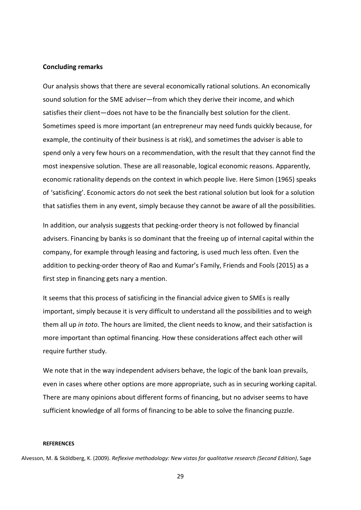#### **Concluding remarks**

Our analysis shows that there are several economically rational solutions. An economically sound solution for the SME adviser—from which they derive their income, and which satisfies their client—does not have to be the financially best solution for the client. Sometimes speed is more important (an entrepreneur may need funds quickly because, for example, the continuity of their business is at risk), and sometimes the adviser is able to spend only a very few hours on a recommendation, with the result that they cannot find the most inexpensive solution. These are all reasonable, logical economic reasons. Apparently, economic rationality depends on the context in which people live. Here Simon (1965) speaks of 'satisficing'. Economic actors do not seek the best rational solution but look for a solution that satisfies them in any event, simply because they cannot be aware of all the possibilities.

In addition, our analysis suggests that pecking-order theory is not followed by financial advisers. Financing by banks is so dominant that the freeing up of internal capital within the company, for example through leasing and factoring, is used much less often. Even the addition to pecking-order theory of Rao and Kumar's Family, Friends and Fools (2015) as a first step in financing gets nary a mention.

It seems that this process of satisficing in the financial advice given to SMEs is really important, simply because it is very difficult to understand all the possibilities and to weigh them all up *in toto*. The hours are limited, the client needs to know, and their satisfaction is more important than optimal financing. How these considerations affect each other will require further study.

We note that in the way independent advisers behave, the logic of the bank loan prevails, even in cases where other options are more appropriate, such as in securing working capital. There are many opinions about different forms of financing, but no adviser seems to have sufficient knowledge of all forms of financing to be able to solve the financing puzzle.

#### **REFERENCES**

Alvesson, M. & Sköldberg, K. (2009). *Reflexive methodology: New vistas for qualitative research (Second Edition)*, Sage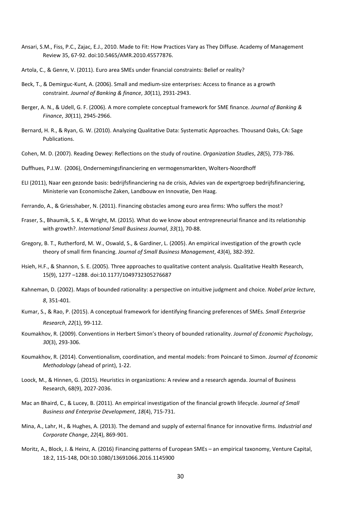- Ansari, S.M., Fiss, P.C., Zajac, E.J., 2010. Made to Fit: How Practices Vary as They Diffuse. Academy of Management Review 35, 67-92. doi:10.5465/AMR.2010.45577876.
- Artola, C., & Genre, V. (2011). Euro area SMEs under financial constraints: Belief or reality?
- Beck, T., & Demirguc-Kunt, A. (2006). Small and medium-size enterprises: Access to finance as a growth constraint. *Journal of Banking & finance*, *30*(11), 2931-2943.
- Berger, A. N., & Udell, G. F. (2006). A more complete conceptual framework for SME finance. *Journal of Banking & Finance*, *30*(11), 2945-2966.
- Bernard, H. R., & Ryan, G. W. (2010). Analyzing Qualitative Data: Systematic Approaches. Thousand Oaks, CA: Sage Publications.
- Cohen, M. D. (2007). Reading Dewey: Reflections on the study of routine. *Organization Studies*, *28*(5), 773-786.
- Duffhues, P.J.W. (2006), Ondernemingsfinanciering en vermogensmarkten, Wolters-Noordhoff
- ELI (2011), Naar een gezonde basis: bedrijfsfinanciering na de crisis, Advies van de expertgroep bedrijfsfinanciering, Ministerie van Economische Zaken, Landbouw en Innovatie, Den Haag.
- Ferrando, A., & Griesshaber, N. (2011). Financing obstacles among euro area firms: Who suffers the most?
- Fraser, S., Bhaumik, S. K., & Wright, M. (2015). What do we know about entrepreneurial finance and its relationship with growth?. *International Small Business Journal*, *33*(1), 70-88.
- Gregory, B. T., Rutherford, M. W., Oswald, S., & Gardiner, L. (2005). An empirical investigation of the growth cycle theory of small firm financing. *Journal of Small Business Management*, *43*(4), 382-392.
- Hsieh, H.F., & Shannon, S. E. (2005). Three approaches to qualitative content analysis. Qualitative Health Research, 15(9), 1277 –1288. doi:10.1177/1049732305276687
- Kahneman, D. (2002). Maps of bounded rationality: a perspective on intuitive judgment and choice. *Nobel prize lecture*, *8*, 351-401.
- Kumar, S., & Rao, P. (2015). A conceptual framework for identifying financing preferences of SMEs. *Small Enterprise Research*, *22*(1), 99-112.
- Koumakhov, R. (2009). Conventions in Herbert Simon's theory of bounded rationality. *Journal of Economic Psychology*, *30*(3), 293-306.
- Koumakhov, R. (2014). Conventionalism, coordination, and mental models: from Poincaré to Simon. *Journal of Economic Methodology* (ahead of print), 1-22.
- Loock, M., & Hinnen, G. (2015). Heuristics in organizations: A review and a research agenda. Journal of Business Research, 68(9), 2027-2036.
- Mac an Bhaird, C., & Lucey, B. (2011). An empirical investigation of the financial growth lifecycle. *Journal of Small Business and Enterprise Development*, *18*(4), 715-731.
- Mina, A., Lahr, H., & Hughes, A. (2013). The demand and supply of external finance for innovative firms. *Industrial and Corporate Change*, *22*(4), 869-901.
- Moritz, A., Block, J. & Heinz, A. (2016) Financing patterns of European SMEs an empirical taxonomy, Venture Capital, 18:2, 115-148, DOI:10.1080/13691066.2016.1145900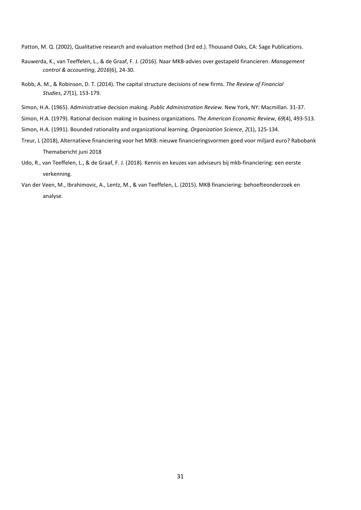Patton, M. Q. (2002), Qualitative research and evaluation method (3rd ed.). Thousand Oaks, CA: Sage Publications.

- Rauwerda, K., van Teeffelen, L., & de Graaf, F. J. (2016). Naar MKB-advies over gestapeld financieren. *Management control & accounting*, *2016*(6), 24-30.
- Robb, A. M., & Robinson, D. T. (2014). The capital structure decisions of new firms. *The Review of Financial Studies*, *27*(1), 153-179.
- Simon, H.A. (1965). Administrative decision making. *Public Administration Review*. New York, NY: Macmillan. 31-37.
- Simon, H.A. (1979). Rational decision making in business organizations. *The American Economic Review*, *69*(4), 493-513.
- Simon, H.A. (1991). Bounded rationality and organizational learning. *Organization Science*, *2*(1), 125-134.
- Treur, L (2018), Alternatieve financiering voor het MKB: nieuwe financieringsvormen goed voor miljard euro? Rabobank Themabericht juni 2018
- Udo, R., van Teeffelen, L., & de Graaf, F. J. (2018). Kennis en keuzes van adviseurs bij mkb-financiering: een eerste verkenning.
- Van der Veen, M., Ibrahimovic, A., Lentz, M., & van Teeffelen, L. (2015). MKB financiering: behoefteonderzoek en analyse.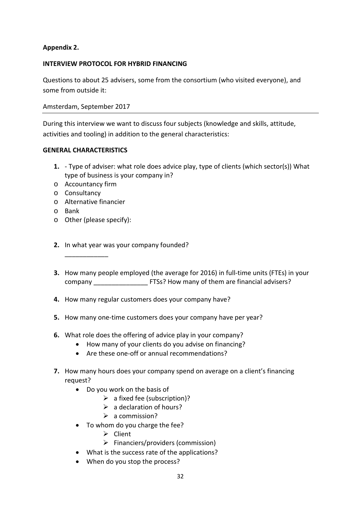## **Appendix 2.**

## **INTERVIEW PROTOCOL FOR HYBRID FINANCING**

Questions to about 25 advisers, some from the consortium (who visited everyone), and some from outside it:

Amsterdam, September 2017

During this interview we want to discuss four subjects (knowledge and skills, attitude, activities and tooling) in addition to the general characteristics:

## **GENERAL CHARACTERISTICS**

- **1.** Type of adviser: what role does advice play, type of clients (which sector(s)) What type of business is your company in?
- o Accountancy firm
- o Consultancy
- o Alternative financier
- o Bank
- o Other (please specify):

\_\_\_\_\_\_\_\_\_\_\_\_

- **2.** In what year was your company founded?
- **3.** How many people employed (the average for 2016) in full-time units (FTEs) in your company \_\_\_\_\_\_\_\_\_\_\_\_\_\_\_\_\_\_\_\_\_\_\_ FTSs? How many of them are financial advisers?
- **4.** How many regular customers does your company have?
- **5.** How many one-time customers does your company have per year?
- **6.** What role does the offering of advice play in your company?
	- How many of your clients do you advise on financing?
	- Are these one-off or annual recommendations?
- **7.** How many hours does your company spend on average on a client's financing request?
	- Do you work on the basis of
		- $\triangleright$  a fixed fee (subscription)?
		- $\triangleright$  a declaration of hours?
		- $\geq$  a commission?
	- To whom do you charge the fee?
		- $\triangleright$  Client
		- $\triangleright$  Financiers/providers (commission)
	- What is the success rate of the applications?
	- When do you stop the process?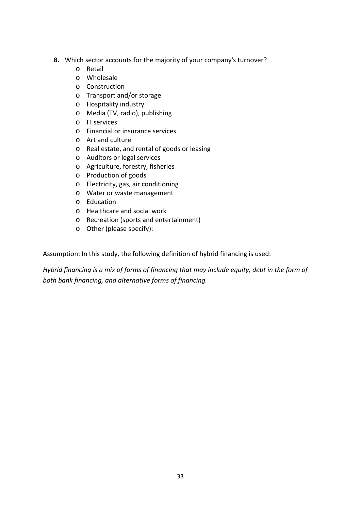- **8.** Which sector accounts for the majority of your company's turnover?
	- o Retail
	- o Wholesale
	- o Construction
	- o Transport and/or storage
	- o Hospitality industry
	- o Media (TV, radio), publishing
	- o IT services
	- o Financial or insurance services
	- o Art and culture
	- o Real estate, and rental of goods or leasing
	- o Auditors or legal services
	- o Agriculture, forestry, fisheries
	- o Production of goods
	- o Electricity, gas, air conditioning
	- o Water or waste management
	- o Education
	- o Healthcare and social work
	- o Recreation (sports and entertainment)
	- o Other (please specify):

Assumption: In this study, the following definition of hybrid financing is used:

*Hybrid financing is a mix of forms of financing that may include equity, debt in the form of both bank financing, and alternative forms of financing.*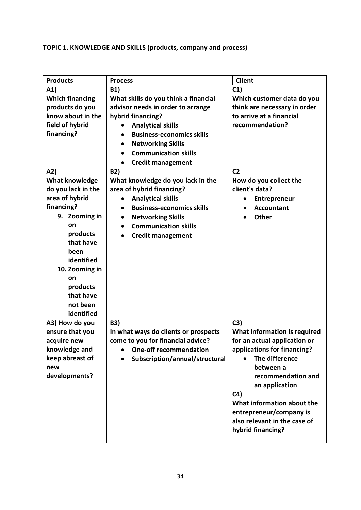# **TOPIC 1. KNOWLEDGE AND SKILLS (products, company and process)**

| <b>Products</b>        | <b>Process</b>                                | <b>Client</b>                |
|------------------------|-----------------------------------------------|------------------------------|
| A1)                    | <b>B1)</b>                                    | C1)                          |
| <b>Which financing</b> | What skills do you think a financial          | Which customer data do you   |
| products do you        | advisor needs in order to arrange             | think are necessary in order |
| know about in the      | hybrid financing?                             | to arrive at a financial     |
| field of hybrid        | <b>Analytical skills</b>                      | recommendation?              |
| financing?             | <b>Business-economics skills</b>              |                              |
|                        | <b>Networking Skills</b>                      |                              |
|                        | <b>Communication skills</b><br>$\bullet$      |                              |
|                        | <b>Credit management</b><br>$\bullet$         |                              |
| A2)                    | <b>B2)</b>                                    | C <sub>2</sub>               |
| <b>What knowledge</b>  | What knowledge do you lack in the             | How do you collect the       |
| do you lack in the     | area of hybrid financing?                     | client's data?               |
| area of hybrid         | <b>Analytical skills</b>                      | Entrepreneur                 |
| financing?             | <b>Business-economics skills</b><br>$\bullet$ | <b>Accountant</b>            |
| 9. Zooming in          | <b>Networking Skills</b><br>$\bullet$         | <b>Other</b>                 |
| on                     | <b>Communication skills</b><br>$\bullet$      |                              |
| products               |                                               |                              |
| that have              | <b>Credit management</b><br>$\bullet$         |                              |
| been                   |                                               |                              |
| identified             |                                               |                              |
| 10. Zooming in         |                                               |                              |
| on                     |                                               |                              |
| products               |                                               |                              |
| that have              |                                               |                              |
| not been               |                                               |                              |
| identified             |                                               |                              |
| A3) How do you         | <b>B3)</b>                                    | C3)                          |
| ensure that you        | In what ways do clients or prospects          | What information is required |
| acquire new            | come to you for financial advice?             | for an actual application or |
| knowledge and          | <b>One-off recommendation</b><br>$\bullet$    | applications for financing?  |
| keep abreast of        | Subscription/annual/structural                | The difference               |
| new                    |                                               | between a                    |
| developments?          |                                               | recommendation and           |
|                        |                                               | an application               |
|                        |                                               | C <sub>4</sub>               |
|                        |                                               | What information about the   |
|                        |                                               | entrepreneur/company is      |
|                        |                                               | also relevant in the case of |
|                        |                                               | hybrid financing?            |
|                        |                                               |                              |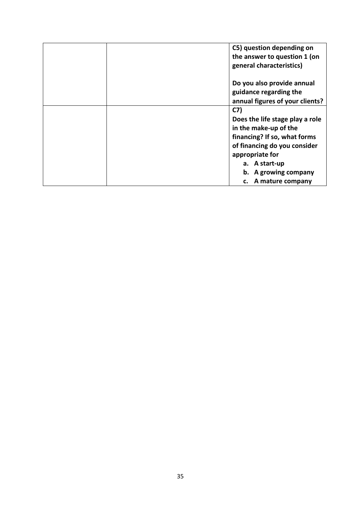|  | C5) question depending on       |
|--|---------------------------------|
|  | the answer to question 1 (on    |
|  | general characteristics)        |
|  | Do you also provide annual      |
|  | guidance regarding the          |
|  | annual figures of your clients? |
|  | C <sub>7</sub>                  |
|  | Does the life stage play a role |
|  | in the make-up of the           |
|  | financing? If so, what forms    |
|  | of financing do you consider    |
|  | appropriate for                 |
|  | a. A start-up                   |
|  | b. A growing company            |
|  | c. A mature company             |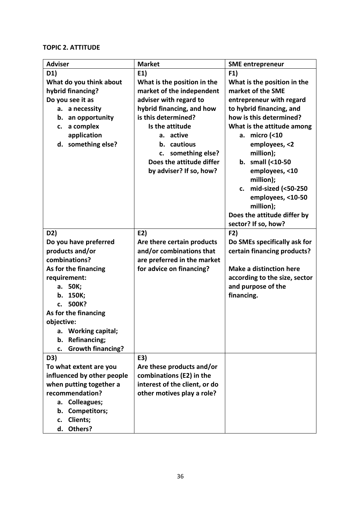## **TOPIC 2. ATTITUDE**

| <b>Adviser</b>                 | <b>Market</b>                 | <b>SME</b> entrepreneur        |
|--------------------------------|-------------------------------|--------------------------------|
| D1)                            | E1)                           | F1)                            |
| What do you think about        | What is the position in the   | What is the position in the    |
| hybrid financing?              | market of the independent     | market of the SME              |
| Do you see it as               | adviser with regard to        | entrepreneur with regard       |
| a. a necessity                 | hybrid financing, and how     | to hybrid financing, and       |
| b. an opportunity              | is this determined?           | how is this determined?        |
| c. a complex                   | Is the attitude               | What is the attitude among     |
| application                    | a. active                     | a. micro (<10                  |
| d. something else?             | b. cautious                   | employees, <2                  |
|                                | c. something else?            | million);                      |
|                                | Does the attitude differ      | b. small $($ < 10-50           |
|                                | by adviser? If so, how?       | employees, <10                 |
|                                |                               | million);                      |
|                                |                               | c. mid-sized (<50-250          |
|                                |                               | employees, <10-50              |
|                                |                               | million);                      |
|                                |                               | Does the attitude differ by    |
|                                |                               | sector? If so, how?            |
| D2)                            | E2)                           | F2)                            |
| Do you have preferred          | Are there certain products    | Do SMEs specifically ask for   |
| products and/or                | and/or combinations that      | certain financing products?    |
| combinations?                  | are preferred in the market   |                                |
| As for the financing           | for advice on financing?      | <b>Make a distinction here</b> |
| requirement:                   |                               | according to the size, sector  |
| a. 50K;                        |                               | and purpose of the             |
| b. 150K;<br>c. 500K?           |                               | financing.                     |
| As for the financing           |                               |                                |
| objective:                     |                               |                                |
| <b>Working capital;</b><br>а.  |                               |                                |
| Refinancing;<br>b.             |                               |                                |
| <b>Growth financing?</b><br>c. |                               |                                |
| D3)                            | E3)                           |                                |
| To what extent are you         | Are these products and/or     |                                |
| influenced by other people     | combinations (E2) in the      |                                |
| when putting together a        | interest of the client, or do |                                |
| recommendation?                | other motives play a role?    |                                |
| <b>Colleagues;</b><br>а.       |                               |                                |
| <b>Competitors;</b><br>b.      |                               |                                |
| Clients;<br>c.                 |                               |                                |
| Others?<br>d.                  |                               |                                |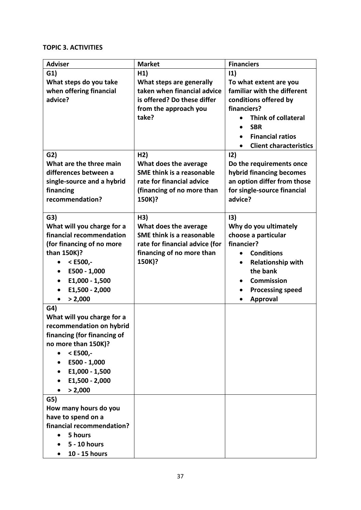## **TOPIC 3. ACTIVITIES**

| <b>Adviser</b>                                  | <b>Market</b>                    | <b>Financiers</b>                          |
|-------------------------------------------------|----------------------------------|--------------------------------------------|
| G1)                                             | H1)                              | 11)                                        |
| What steps do you take                          | What steps are generally         | To what extent are you                     |
| when offering financial                         | taken when financial advice      | familiar with the different                |
| advice?                                         | is offered? Do these differ      | conditions offered by                      |
|                                                 | from the approach you            | financiers?                                |
|                                                 | take?                            | <b>Think of collateral</b>                 |
|                                                 |                                  | <b>SBR</b><br>$\bullet$                    |
|                                                 |                                  | <b>Financial ratios</b><br>$\bullet$       |
|                                                 |                                  | <b>Client characteristics</b><br>$\bullet$ |
| G2)                                             | H2)                              | 12)                                        |
| What are the three main                         | What does the average            | Do the requirements once                   |
| differences between a                           | <b>SME think is a reasonable</b> | hybrid financing becomes                   |
| single-source and a hybrid                      | rate for financial advice        | an option differ from those                |
| financing                                       | (financing of no more than       | for single-source financial                |
| recommendation?                                 | 150K)?                           | advice?                                    |
|                                                 |                                  |                                            |
| G3)                                             | H3)                              | 13)                                        |
| What will you charge for a                      | What does the average            | Why do you ultimately                      |
| financial recommendation                        | <b>SME think is a reasonable</b> | choose a particular                        |
| (for financing of no more                       | rate for financial advice (for   | financier?                                 |
| than 150K)?                                     | financing of no more than        | <b>Conditions</b><br>$\bullet$             |
| $<$ E500,-<br>$\bullet$                         | 150K)?                           | <b>Relationship with</b><br>$\bullet$      |
| E500 - 1,000                                    |                                  | the bank                                   |
| E1,000 - 1,500<br>$\bullet$                     |                                  | <b>Commission</b><br>$\bullet$             |
| E1,500 - 2,000                                  |                                  | <b>Processing speed</b><br>٠               |
| > 2,000<br>$\bullet$                            |                                  | <b>Approval</b><br>$\bullet$               |
| G <sub>4</sub>                                  |                                  |                                            |
| What will you charge for a                      |                                  |                                            |
| recommendation on hybrid                        |                                  |                                            |
| financing (for financing of                     |                                  |                                            |
| no more than 150K)?                             |                                  |                                            |
| $<$ E500,-<br>$\bullet$                         |                                  |                                            |
| E500 - 1,000                                    |                                  |                                            |
| E1,000 - 1,500                                  |                                  |                                            |
| E1,500 - 2,000                                  |                                  |                                            |
| > 2,000                                         |                                  |                                            |
| G5)                                             |                                  |                                            |
| How many hours do you                           |                                  |                                            |
| have to spend on a<br>financial recommendation? |                                  |                                            |
| 5 hours                                         |                                  |                                            |
| 5 - 10 hours                                    |                                  |                                            |
|                                                 |                                  |                                            |
| 10 - 15 hours                                   |                                  |                                            |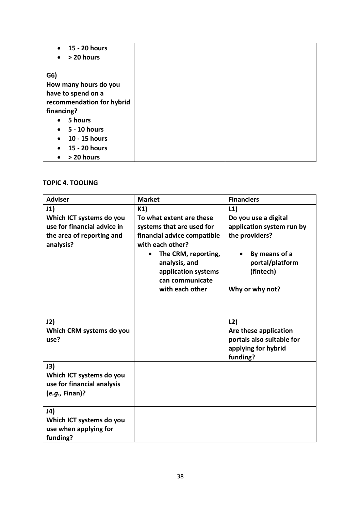| $\bullet$ 15 - 20 hours<br>> 20 hours<br>$\bullet$ |  |
|----------------------------------------------------|--|
| G6)                                                |  |
| How many hours do you                              |  |
| have to spend on a                                 |  |
| recommendation for hybrid                          |  |
| financing?                                         |  |
| 5 hours<br>$\bullet$                               |  |
| 5 - 10 hours<br>$\bullet$                          |  |
| 10 - 15 hours<br>$\bullet$                         |  |
| 15 - 20 hours<br>$\bullet$                         |  |
| > 20 hours<br>$\bullet$                            |  |

## **TOPIC 4. TOOLING**

| <b>Adviser</b>                                                                  | <b>Market</b>                                                                                                                                        | <b>Financiers</b>                                                                            |
|---------------------------------------------------------------------------------|------------------------------------------------------------------------------------------------------------------------------------------------------|----------------------------------------------------------------------------------------------|
| J1)                                                                             | K1)                                                                                                                                                  | L1)                                                                                          |
| Which ICT systems do you                                                        | To what extent are these                                                                                                                             | Do you use a digital                                                                         |
| use for financial advice in                                                     | systems that are used for                                                                                                                            | application system run by                                                                    |
| the area of reporting and<br>analysis?                                          | financial advice compatible<br>with each other?<br>The CRM, reporting,<br>analysis, and<br>application systems<br>can communicate<br>with each other | the providers?<br>By means of a<br>portal/platform<br>(fintech)<br>Why or why not?           |
| J2)<br>Which CRM systems do you<br>use?                                         |                                                                                                                                                      | L2)<br>Are these application<br>portals also suitable for<br>applying for hybrid<br>funding? |
| J3)<br>Which ICT systems do you<br>use for financial analysis<br>(e.g., Finan)? |                                                                                                                                                      |                                                                                              |
| J4)<br>Which ICT systems do you<br>use when applying for<br>funding?            |                                                                                                                                                      |                                                                                              |